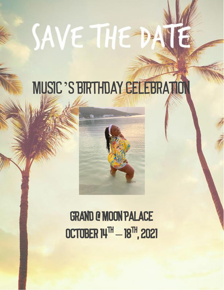# SAVE THE DA

# MUSIC'S BIRTHDAY CELEBRATION



Grand @ Moon Palace October 14th **–** 18th , 2021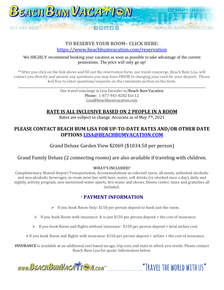

### **TO RESERVE YOUR ROOM– CLICK HERE:**  <https://www.beachbumvacation.com/reservation>

#### We HIGHLY recommend booking your vacation as soon as possible to take advantage of the current promotions. The price will only go up!

\*\*After you click on the link above and fill out the reservation form, our travel concierge, Beach Bum Lisa, will contact you directly and answer any questions you may have PRIOR to charging your card for your deposit. Please feel free to enter questions/requests on the comments section on the form.

> Our travel concierge is Lisa Zwissler w/Beach Bum Vacation Phone: 1-877-943-8282 Ext 12 Lisa@beachbumvacation.com

\_\_\_\_\_\_\_\_\_\_\_\_\_\_\_\_\_\_\_\_\_\_\_\_\_\_\_\_\_\_\_\_\_\_\_\_\_\_\_\_\_\_\_\_\_\_\_\_\_\_\_\_\_\_\_\_\_\_\_\_\_\_\_\_\_\_\_\_\_\_\_\_\_\_\_\_\_\_\_\_\_\_\_\_\_\_\_\_\_\_\_\_\_\_\_\_\_\_\_\_\_\_\_\_\_\_\_\_\_\_\_\_\_\_\_\_\_\_\_\_\_\_\_\_\_\_

# **RATE IS ALL INCLUSIVE BASED ON 2 PEOPLE IN A ROOM**

Rates are subject to change. Accurate as of May 7<sup>th</sup>, 2021

# **PLEASE CONTACT BEACH BUM LISA FOR UP-TO-DATE RATES AND/OR OTHER DATE OPTIONS [LISA@BEACHBUMVACATION.COM](mailto:LISA@BEACHBUMVACATION.COM)**

Grand Deluxe Garden View \$2069 (\$1034.50 per person)

# Grand Family Deluxe (2 connecting rooms) are also available if traveling with children.

#### **WHAT'S INCLUDED?**

Complimentary Shared Airport Transportation, Accommodations as selected, taxes, all meals, unlimited alcoholic and non-alcoholic beverages, in-room mini-bar with beer, water, soft drinks (re-stocked once a day), daily and nightly activity program, non-motorized water sports, live music and shows, fitness center, taxes and gratuities all included.

# \* **PAYMENT INFORMATION**

- ➢ If you book Room Only: \$150 per person deposit to book just the room.
- ➢ If you book Room with insurance: It is just \$150 per person deposit + the cost of insurance.
- ➢ If you book Room and flights without insurance: \$150 per person deposit + total airfare cost.
- $\triangleright$  If you book Room and flights with insurance: \$150 per person deposit + airfare + the cost of insurance.

**INSURANCE** is available at an additional cost based on age, trip cost, and state in which you reside. Please contact Beach Bum Lisa for quote. Information below.

www.BEACHBUMVACATTEM.com

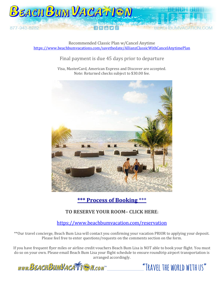

Recommended Classic Plan w/Cancel Anytime <https://www.beachbumvacations.com/savethedate/AllianzClassicWithCancelAnytimePlan>

# Final payment is due 45 days prior to departure

Visa, MasterCard, American Express and Discover are accepted. Note: Returned checks subject to \$30.00 fee.



**\*\*\* Process of Booking** \*\*\*

# **TO RESERVE YOUR ROOM– CLICK HERE:**

# <https://www.beachbumvacation.com/reservation>

\*\*Our travel concierge, Beach Bum Lisa will contact you confirming your vacation PRIOR to applying your deposit. Please feel free to enter questions/requests on the comments section on the form.

If you have frequent flyer miles or airline credit vouchers Beach Bum Lisa is NOT able to book your flight. You must do so on your own. Please email Beach Bum Lisa your flight schedule to ensure roundtrip airport transportation is arranged accordingly.

www.BEACHBUMVACATTEN.com

"TRAVEL THE WORLD WITH US"